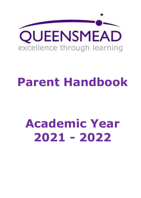

# **Parent Handbook**

# **Academic Year 2021 - 2022**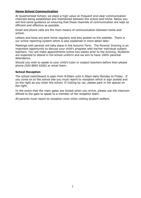# **Home School Communication**

At Queensmead School, we place a high value on frequent and clear communication channels being established and maintained between the school and home. Below you will find some guidance on ensuring that these channels of communication are kept as efficient and effective as possible.

Email and phone calls are the main means of communication between home and school.

Letters and texts are sent home regularly and also posted on the website. There is our online reporting system which is also explained in more detail later.

Meetings with parents will take place in the Autumn Term. The Parents' Evening is an important opportunity to discuss your child's progress with his/her individual subject teachers. You will make appointments online two weeks prior to the evening. Students are expected to attend in full school uniform and we aim to have 100% parental attendance.

Should you wish to speak to your child's tutor or subject teachers before then please phone (020 8845 6266) or email them.

# **School Reception**

The school switchboard is open from 8.00am until 4.30pm daily Monday to Friday. If you come on to the school site you must report to reception which is sign posted and on the right as you enter the school. If visiting by car, please park in the spaces on the right.

In the event that the main gates are locked when you arrive, please use the intercom affixed to the gate to speak to a member of the reception team.

All parents must report to reception even when visiting student welfare.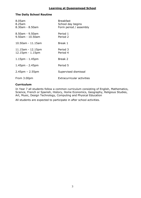# **Learning at Queensmead School**

# **The Daily School Routine**

| 8.05am<br>8.25am<br>$8.30$ am - $8.50$ am   | <b>Breakfast</b><br>School day begins<br>Form period / assembly |
|---------------------------------------------|-----------------------------------------------------------------|
| $8.50$ am - 9.50am<br>9.50am - 10.50am      | Period 1<br>Period 2                                            |
| 10.50am - 11.15am                           | Break 1                                                         |
| $11.15$ am - $12.15$ pm<br>12.15pm - 1.15pm | Period 3<br>Period 4                                            |
| $1.15$ pm - $1.45$ pm                       | Break 2                                                         |
| $1.45$ pm - 2.45pm                          | Period 5                                                        |
| $2.45$ pm – 2.55pm                          | Supervised dismissal                                            |
| From 3.00pm                                 | <b>Extracurricular activities</b>                               |

# **Curriculum**

In Year 7 all students follow a common curriculum consisting of English, Mathematics, Science, French or Spanish, History, Home Economics, Geography, Religious Studies, Art, Music, Design Technology, Computing and Physical Education

All students are expected to participate in after school activities.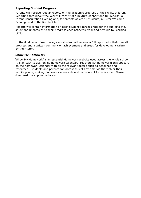# **Reporting Student Progress**

Parents will receive regular reports on the academic progress of their child/children. Reporting throughout the year will consist of a mixture of short and full reports, a Parent Consultation Evening and, for parents of Year 7 students, a 'Tutor Welcome Evening' held in the first half term.

Reports will contain information on each student's target grade for the subjects they study and updates as to their progress each academic year and Attitude to Learning (ATL).

In the final term of each year, each student will receive a full report with their overall progress and a written comment on achievement and areas for development written by their tutor.

# **Show My Homework**

'Show My Homework' is an essential Homework Website used across the whole school. It is an easy to use, online homework calendar. Teachers set homework; this appears on the homework calendar with all the relevant details such as deadlines and resources. Students and parents can access this at any time via the web or their mobile phone, making homework accessible and transparent for everyone. Please download the app immediately.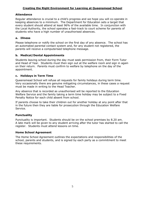# **Creating the Right Environment for Learning at Queensmead School**

# **Attendance**

Regular attendance is crucial to a child's progress and we hope you will co-operate in keeping absences to a minimum. The Department for Education sets a target that every student should attend at least 96% of the available time. In conjunction with the Local Authority, the school operates a fast-track to court scheme for parents of students who have a high number of unauthorised absences.

# **a. Illness**

Please telephone or notify the school on the first day of any absence. The school has an automated parental contact system and, for any student not registered, the parents will receive a computerised telephone message.

# **b. Medical/Dental Appointments**

Students leaving school during the day must seek permission from, their Form Tutor and Head of Year. Students must then sign out at the welfare room and sign in again on their return. Parents must confirm to welfare by telephone on the day of the appointment.

# **c. Holidays in Term Time**

Queensmead School will refuse all requests for family holidays during term time. Very occasionally there are genuine mitigating circumstances, in these cases a request must be made in writing to the Head Teacher.

Any absence that is recorded as unauthorised will be reported to the Education Welfare Service and the family taking a term time holiday may be subject to a Fixed Penalty Notice for each child absent from school.

If parents choose to take their children out for another holiday at any point after that in the future then they are liable for prosecution through the Education Welfare Service.

# **Punctuality**

Punctuality is important. Students should be on the school premises by 8.20 am. A late mark will be given to any student arriving after the tutor has started to call the register. Students must attend lessons on time.

# **Home School Agreement**

The Home School Agreement outlines the expectations and responsibilities of the school, parents and students, and is signed by each party as a commitment to meet these requirements.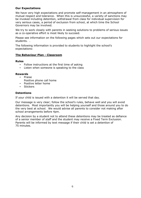# **Our Expectations**

We have very high expectations and promote self-management in an atmosphere of mutual respect and tolerance. When this is unsuccessful, a variety of sanctions may be invoked including detention, withdrawal from class for individual supervision for very serious cases, a period of exclusion from school, at which time the School Governors may be involved.

We try to work closely with parents in seeking solutions to problems of serious issues as a co-operative effort is most likely to succeed.

Please see information on the following pages which sets out our expectations for students. .

The following information is provided to students to highlight the school's expectations:

# **The Behaviour Plan - Classroom**

# **Rules**

- Follow instructions at the first time of asking
- Listen when someone is speaking to the class

# **Rewards**

- Praise
	- Positive phone call home
- Positive letter home
- **Stickers**

# **Detentions**

If your child is issued with a detention it will be served that day.

Our message is very clear; follow the school's rules, behave well and you will avoid detentions. Most importantly you will be helping yourself and those around you to do the very best at school. We would advise all parents to consider not making after school arrangements before 4pm.

Any decision by a student not to attend these detentions may be treated as defiance of a senior member of staff and the student may receive a Fixed Term Exclusion. Parents will be informed by text message if their child is set a detention of 75 minutes.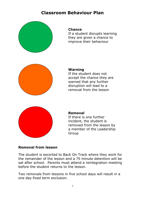# **Classroom Behaviour Plan**



# **Chance**

If a student disrupts learning they are given a chance to improve their behaviour



# **Warning**

If the student does not accept the chance they are warned that any further disruption will lead to a removal from the lesson



# **Removal**

If there is one further incident, the student is removed from the lesson by a member of the Leadership Group

# **Removal from lesson**

The student is escorted to Back On Track where they work for the remainder of the lesson and a 75 minute detention will be sat after school. Parents must attend a reintegration meeting before the student returns to the lesson.

Two removals from lessons in five school days will result in a one day fixed term exclusion.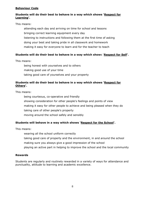# **Behaviour Code**

# **Students will do their best to behave in a way which shows 'Respect for Learning'.**

# This means:

attending each day and arriving on time for school and lessons bringing correct learning equipment every day listening to instructions and following them at the first time of asking doing your best and taking pride in all classwork and homework making it easy for everyone to learn and for the teacher to teach

# **Students will do their best to behave in a way which show**s '**Respect for Self'.**

This means:

being honest with yourselves and to others making good use of your time taking good care of yourselves and your property

# **Students will do their best to behave in a way which shows 'Respect for Others'.**

This means:

being courteous, co-operative and friendly showing consideration for other people's feelings and points of view making it easy for other people to achieve and being pleased when they do taking care of other people's property moving around the school safely and sensibly

# **Students will behave in a way which shows 'Respect for the School'.**

This means:

wearing all the school uniform correctly

- taking good care of property and the environment, in and around the school
- making sure you always give a good impression of the school
- playing an active part in helping to improve the school and the local community

# **Rewards**

Students are regularly and routinely rewarded in a variety of ways for attendance and punctuality, attitude to learning and academic excellence.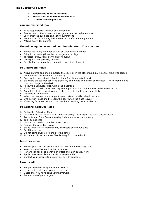#### **The Successful Student**

- **Follows the rules at all times**
- **Works hard to make improvements**
- **Is polite and responsible**

#### **You are expected to...**

- Take responsibility for your own behaviour
- Respect each others' race, culture, gender and sexual orientation
- Look after the buildings and your environment
- Be prepared for learning with the correct uniform and equipment
- Attend every day on time

#### **The following behaviour will not be tolerated. You must not....**

- Be defiant to any member of staff at Queensmead School
- Bring in or use anything that is dangerous or illegal
- Threaten, bully, fight, be violent or abusive
- Damage school property or steal
- Be late for lessons or take time off school, if at all possible

#### **10 Classroom Rules**

- 1. Arrive on time and line up outside the class, or in the playground in single file. (The first person will hold the door open for the others)
- 2. Enter quietly and stand behind desks before being asked to sit
- 3. Sit where the teacher asks and place any completed homework on the desk. There should be no coats and bags on the desk
- 4. Follow the Behaviour Plan within the classroom
- 5. If you need to ask, or answer a question put your hand up and wait to be asked to speak
- 6. Complete all of the work you are asked to do to the best of your ability
- 7. Write down homework
- 8. When the teacher tells you, pack up and stand quietly behind the desk
- 9. One person is assigned to open the door when the class leaves
- 10. If waiting for a teacher you must read your reading book in silence

#### **10 General Conduct Rules**

- 1. Follow the Behaviour Code
- 2. Wear the correct uniform at all times including travelling to and from Queensmead
- 3. Travel to and from Queensmead quickly, courteously and quietly
- 4. Talk, do not shout
- 5. Do not run. Walk on the left in corridors
- 6. Respect the reception areas
- 7. Stand when a staff member and/or visitors enter your class
- 8. Put litter in bins
- 9. Do not bring sweets or gum into the school
- 10. At the end of the day meet friends away from the school

#### **Teachers will....**

- Be well prepared for lessons and set clear and interesting tasks
- Value any positive contribution you make
- Reward you for good behaviour, effort and high quality work
- Apply rules, rewards and sanctions consistently
- Contact your parents to praise you, or with concerns

#### **Parents will....**

- Support the rules of Queensmead School
- Help you to make sure you arrive on time
- Check that you have done your homework
- Remind you of your targets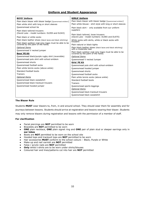# **Uniform and Student Appearance**

| <b>GIRLS' Uniform</b>                                                                               |
|-----------------------------------------------------------------------------------------------------|
| Plain black blazer with blazer badge (Queensmead emblem)                                            |
| Plain white blouse - shirt style with long or short sleeves                                         |
| Plain black skirt - only available from our uniform                                                 |
| suppliers<br>Plain black tailored, loose trousers:<br>(David Luke - model numbers: DL965 and DL970) |
| White socks with skirts, white or black socks with<br>trousers                                      |
| Plain natural or black tights                                                                       |
| Plain black leather shoes (black laces and black stitching)<br>with a moderate heel                 |
|                                                                                                     |
| Plain black outdoor coat (any logos must be able to be covered by the palm of the hand)             |
| <b>Optional Items</b>                                                                               |
| Queensmead V necked Jumper                                                                          |
| Girls' PE Kit                                                                                       |
| Queensmead polo shirt with school emblem                                                            |
| Queensmead hooded jumper                                                                            |
| Oueensmead shorts                                                                                   |
| Queensmead football socks                                                                           |
| Plain white tennis socks (above ankle)                                                              |
| Standard football boots                                                                             |
| <b>Trainers</b>                                                                                     |
| Queensmead sports leggings                                                                          |
| <b>Optional Items</b>                                                                               |
| Queensmead black tracksuit trousers                                                                 |
| Queensmead black sweatshirt                                                                         |
|                                                                                                     |

#### **The Blazer Rule**

Students **MUST** wear blazers to, from, in and around school. They should wear them for assembly and for journeys between lessons. Students should arrive at registration and lessons wearing their blazer. Students may only remove blazers during registration and lessons with the permission of a member of staff.

#### **For clarification**

- Facial piercings are **NOT** permitted to be worn
- Bracelets are **NOT** permitted to be worn
- **ONE** plain necklace, **ONE** plain signet ring and **ONE** pair of plain stud or sleeper earrings only in **ear lobes**
- Boots are **NOT** permitted to be worn on the school site
- Hooded tops and tracksuit tops are **NOT** permitted to be worn
- Hair accessories **MUST** conform to the school colours Black, Purple or White
- Make-up and nail varnish are **NOT** permitted
- False / acrylic nails are **NOT** permitted
- **Only** white t-shirts are to be worn under shirts/blouses
- Coloured hair and lines/patterns cut into hair are **NOT** permitted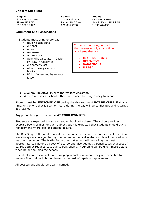# **Uniform Suppliers**

**Angels** 317 Rayners Lane Pinner HA5 5EH 020 8866 9972

 **Kevins Adams** 020 886 7208 01895 674155

 104 Marsh Road 55 Victoria Road Pinner HA5 5NA Ruislip Manor HA4 9BH

# **Equipment and Possessions**

Students must bring every day:

- Blue / black pens
- A pencil
- A ruler
- An eraser
- A glue stick
- Scientific calculator Casio FX-83GTX ClassWiz
- A geometry set
- All necessary exercise books
- PE kit (when you have your lesson)

You must not bring, or be in the possession of, at any time, any items that are:

- **INAPPROPRIATE**
- **OFFENSIVE**
- **DANGEROUS**
- **ILLEGAL**

- Give any **MEDICATION** to the Welfare Assistant.
- We are a cashless school there is no need to bring money to school.

Phones must be **SWITCHED OFF** during the day and must **NOT BE VISIBLE** at any time. Any phone that is seen or heard during the day will be confiscated and returned at 3.05pm.

Any phone brought to school is **AT YOUR OWN RISK**.

Students are expected to carry a reading book with them. The school provides exercise books or files for each subject but it is expected that students should buy a replacement where loss or damage occurs.

The Key Stage 3 National Curriculum demands the use of a scientific calculator. You are strongly encouraged to buy the recommended calculator as this will be used as a teaching resource. The Maths Department at school will be selling the most appropriate calculator at a cost of £10.00 and also geometry pencil cases at a cost of £1.50, both at reduced cost due to bulk buying. Your child will be given more details when he or she joins the school.

If students are responsible for damaging school equipment, they are expected to make a financial contribution towards the cost of repair or replacement.

All possessions should be clearly named.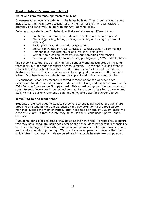# **Staying Safe at Queensmead School**

We have a zero tolerance approach to bullying.

Queensmead expects all students to challenge bullying. They should always report incidents to their form tutor, teacher or any member of staff, who will tackle it promptly and sensitively in line with our Anti-Bullying Policy.

Bullying is repeatedly hurtful behaviour that can take many different forms:

- Emotional (unfriendly, excluding, tormenting or taking property)
- Physical (pushing, hitting, kicking, punching and using any form of violence)
- Racial (racial taunting graffiti or gesturing)
- Sexual (unwanted physical contact, or sexually abusive comments)
- Homophobic (focusing on, or as a result of, sexuality)
- Verbal (name-calling, sarcasm, rumour-spreading and teasing)
- Technological (activity online, video, photographic, SMS and telephone)

The school takes the issue of bullying very seriously and investigates all incidents thoroughly in order that appropriate action is taken. A clear anti-bullying ethos is established in the school through PD work, form time activities and assemblies. Restorative Justice practices are successfully employed to resolve conflict when it arises. Our Peer Mentor students provide support and guidance when required.

Queensmead School has recently received recognition for the work we have undertaken to address and minimise instances of bullying and has been awarded the BIG (Bullying Intervention Group) award. This award recognises the hard work and commitment of everyone in our school community (students, teachers, parents and staff) to make our environment a safe and enjoyable place for everyone to be.

# **Travelling to and from school**

Students are encouraged to walk to school or use public transport. If parents are dropping off students they should ensure they pay attention to the road safety markings outside the main entrance. They need to be on site by 8.20am gates will close at 8.25am. If they are late they must use the Queensmead Sports Centre entrance.

If students bring bikes to school they do so at their own risk. Parents should ensure that they have adequate insurance cover as the school does not accept responsibility for loss or damage to bikes whilst on the school premises. Bikes are, however, in a secure bike shed during the day. We would advise all parents to ensure that their child's bike is road worthy. Please be advised that cycle helmets are compulsory.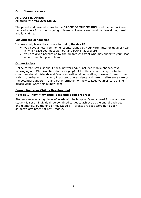# **Out of bounds areas**

# All **GRASSED AREAS** All areas with **YELLOW LINES**

The paved and covered areas to the **FRONT OF THE SCHOOL** and the car park are to be used solely for students going to lessons. These areas must be clear during break and lunchtime.

# **Leaving the school site**

You may only leave the school site during the day **IF**:

- you have a note from home, countersigned by your Form Tutor or Head of Year in which case you must sign out and back in at Welfare
- you are given permission by the Welfare Assistant who may speak to your Head of Year and telephone home

# **Online Safety**

Online safety isn't just about social networking, it includes mobile phones, text messaging and MMS (multimedia messaging). All of these can be very useful to communicate with friends and family as well as aid education, however it does come with its drawbacks. It is very important that students and parents alike are aware of the potential dangers. To find out information on how to keep yourself safe online please visit: [www.thinkuknow.com](http://www.thinkuknow.com/)

# **Supporting Your Child's Development**

# **How do I know if my child is making good progress**

Students receive a high level of academic challenge at Queensmead School and each student is set an individual, personalised target to achieve at the end of each year, and ultimately, by the end of Key Stage 3. Targets are set according to each student's attainment at Key Stage 2.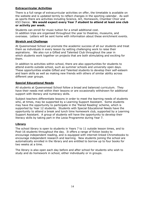# **Extracurricular Activities**

There is a full range of extracurricular activities on offer, the timetable is available on the website and is updated termly to reflect changes in the sporting calendar. As well as sports there are activities including Science, Art, Homework, Chamber Choir and KS3 Dance. **We would expect every Year 7 student to attend at least one club or activity per week.**

Students can enroll for music tuition for a small additional cost. In addition trips are organised throughout the year to theatres, museums, and overseas. Letters will be sent home with information about these enrichment events.

# **Stretch and Challenge**

At Queensmead School we promote the academic success of all our students and treat them as individuals in every lesson by setting challenging work to raise their aspirations. We also run a Gifted and Talented Club throughout the year in which students work together on projects that are both stimulating and exciting for them.

In addition to activities within school, there are also opportunities for students to attend events outside school, such as summer schools and university open days. These opportunities enable Gifted and Talented students to develop their self-esteem and team skills as well as making new friends with others of similar ability across different year groups.

# **Special Educational Needs**

All students at Queensmead School follow a broad and balanced curriculum. They have their needs met within their lessons or are occasionally withdrawn for additional support with literacy and numeracy skills.

Subject teachers differentiate lessons in order to meet the learning needs of students who, at times, may be supported by a Learning Support Assistant. Some students may have the opportunity to participate in the 'Paired Reading' scheme, which is supported by Year 12 students. Students with Special Educational Needs have the opportunity to attend a break and lunch time homework club, supported by a Learning Support Assistant. A group of students will have the opportunity to develop their literacy skills by taking part in the Lexia Programme during Year 7.

# **Library**

The school library is open to students in Years 7 to 11 outside lesson times, and to Post-16 students throughout the day. It offers a range of fiction books to encourage independent reading, and is equipped with internet-linked Chromebooks to encourage independent research and learning. New students joining the school are automatically enrolled in the library and are entitled to borrow up to four books for two weeks at a time.

The library is also open each day before and after school for students who wish to study and do homework in school, either individually or in groups.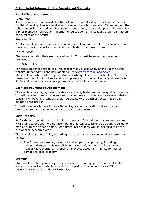# **Other Useful Information for Parents and Students**

# **Break-Time Arrangements**

# Restaurant

A variety of foods are provided in the school restaurant using a cashless system. A full list of meal options are available to view on the school website. When you join the school you will be issued with information about the system and a parental permission slip for biometric registration. Biometric registration is the school's preferred method of payment and is secure.

# Snack Bar/Pod

A selection of rolls and sandwiches, salads, cereal bars and drinks are available from the snack bar in the locker room and the outside pod at break times.

# Packed Lunch

Students may bring their own packed lunch. This must be eaten on the school premises.

Free School Meal

For those students entitled to a free school meal, please apply online via the school website, under admissions documentation [www.myfreeschoolmeals.com.](http://www.myfreeschoolmeals.com/)

The cashless system will recognise students who qualify for free school lunch as they present at the till point of sale and is completely anonymous. The daily allowance is £2.30 and students are encouraged to have the hot lunch and dessert.

# **Cashless Payment at Queensmead**

The cashless catering system provides an efficient, faster and better quality of service. You will be able to make payments for trips and meals online using a secure website called ParentPay. The school's preferred access to the cashless system is through biometric registration.

You will receive a letter with your ParentPay account activation details that will provide more information about using the cashless system.

# **Lost Property**

By far the best solution concerning lost property is for students to take proper care with their possessions. We do recommend that ALL possessions be clearly labelled or marked with the owner's name. Unclaimed lost property will be disposed of at the end of each academic year.

The School Governors' Policy regarding loss of or damage to personal property is as follows:

The Governors hereby give notice that all personal property, including money, taken onto this establishment is entirely at the risk of the owner. Neither the Governors, nor their employees, accept any liability for loss or damage to such property.

# **Lockers**

Students have the opportunity to use a locker to store equipment and books. To be issued with a locker students should bring a padlock into school once a  $£5$ maintenance charge is paid via ParentPay.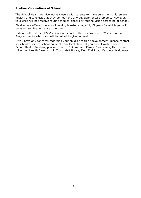# **Routine Vaccinations at School**

The School Health Service works closely with parents to make sure their children are healthy and to check that they do not have any developmental problems. However, your child will not receive routine medical checks or routine vision screening at school.

Children are offered the school leaving booster at age 14/15 years for which you will be asked to give consent at the time.

Girls are offered the HPV Vaccination as part of the Government HPV Vaccination Programme for which you will be asked to give consent.

If you have any concerns regarding your child's health or development, please contact your health service school nurse at your local clinic. If you do not wish to use the School Health Services, please write to: Children and Family Directorate, Harrow and Hillingdon Health Care, N.H.S. Trust, Malt House, Field End Road, Eastcote, Middlesex.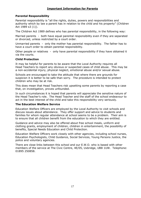# **Important Information for Parents**

# **Parental Responsibility**

Parental responsibility is "all the rights, duties, powers and responsibilities and authority which by law a parent has in relation to the child and his property" (Children Act 1989 s3 (1)).

The Children Act 1989 defines who has parental responsibility, in the following way:

Married parents - both have equal parental responsibility even if they are separated or divorced, unless restricted by a court order.

Unmarried parents - only the mother has parental responsibility. The father has to have a court order to obtain parental responsibility.

Other people or relatives - only have parental responsibility if they have obtained it via the courts.

# **Child Protection**

It may be helpful for parents to be aware that the Local Authority requires all Head Teachers to report any obvious or suspected cases of child abuse. This may be a non-accidental injury, physical neglect, emotional abuse and/or sexual abuse.

Schools are encouraged to take the attitude that where there are grounds for suspicion it is better to be safe than sorry. The procedure is intended to protect children who may be at risk.

This does mean that Head Teachers risk upsetting some parents by reporting a case that, on investigation, proves unfounded.

In such circumstances it is hoped that parents will appreciate the sensitive nature of the Head Teacher's role. The Head Teacher and the staff of the school endeavour to act in the best interest of the child and take this responsibility very seriously.

# **The Education Welfare Service**

Education Welfare Officers are employed by the Local Authority to visit schools and discuss issues about attendance. They offer support and advice to students and families for whom regular attendance at school seems to be a problem. Their aim is to ensure that all children benefit from the education to which they are entitled.

Guidance and advice may also be offered about free school meals, uniform and clothing grants, employment of children, children in entertainment, the possibility of benefits, Special Needs Education and Child Protection.

Education Welfare Officers work closely with other agencies, including school nurses, Education Psychologists, Child Guidance, Social Services, Young Persons Justice, the police and voluntary agencies.

There are close links between this school and our E.W.O. who is based with other members of the service at The Civic Centre, 4E/05, Uxbridge, UB8 1UW. Telephone: 01895 250858.